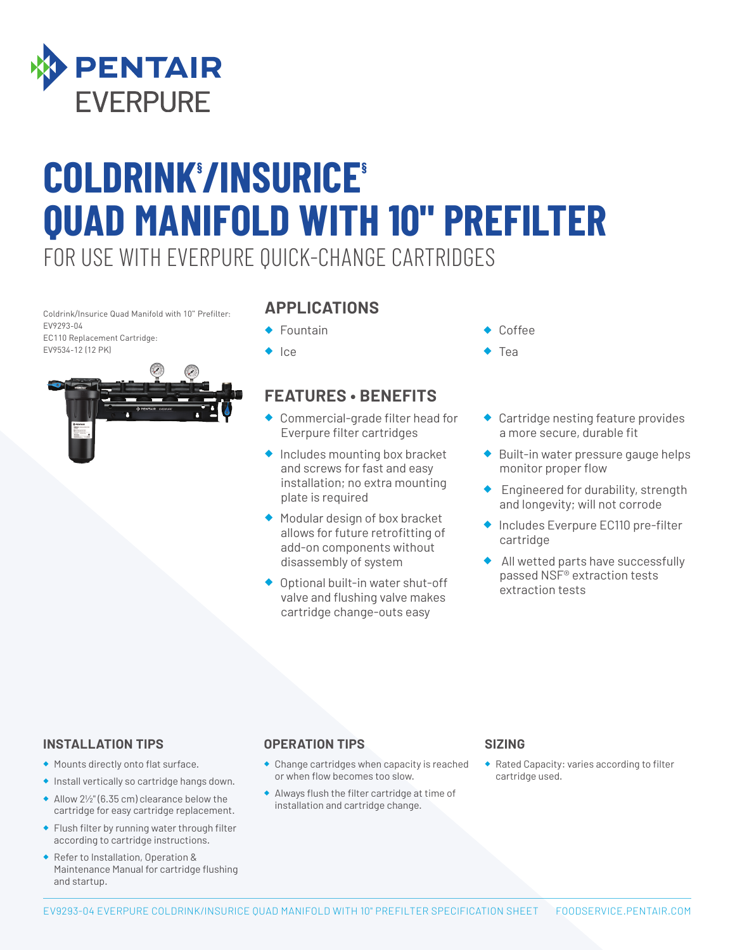

# FOR USE WITH EVERPURE QUICK-CHANGE CARTRIDGES **COLDRINK§ /INSURICE§ QUAD MANIFOLD WITH 10" PREFILTER**

Coldrink/Insurice Quad Manifold with 10" Prefilter: EV9293-04

EC110 Replacement Cartridge: EV9534-12 (12 PK)



### **APPLICATIONS**

- ◆ Fountain
- ◆ Ice

## **FEATURES • BENEFITS**

- ◆ Commercial-grade filter head for Everpure filter cartridges
- ◆ Includes mounting box bracket and screws for fast and easy installation; no extra mounting plate is required
- ◆ Modular design of box bracket allows for future retrofitting of add-on components without disassembly of system
- ◆ Optional built-in water shut-off valve and flushing valve makes cartridge change-outs easy
- Coffee
- **Tea**
- ◆ Cartridge nesting feature provides a more secure, durable fit
- ◆ Built-in water pressure gauge helps monitor proper flow
- ◆ Engineered for durability, strength and longevity; will not corrode
- ◆ Includes Everpure EC110 pre-filter cartridge
- ◆ All wetted parts have successfully passed NSF® extraction tests extraction tests

#### **INSTALLATION TIPS**

- ◆ Mounts directly onto flat surface.
- ◆ Install vertically so cartridge hangs down.
- ◆ Allow 2½" (6.35 cm) clearance below the cartridge for easy cartridge replacement.
- ◆ Flush filter by running water through filter according to cartridge instructions.
- ◆ Refer to Installation, Operation & Maintenance Manual for cartridge flushing and startup.

#### **OPERATION TIPS**

- ◆ Change cartridges when capacity is reached or when flow becomes too slow.
- ◆ Always flush the filter cartridge at time of installation and cartridge change.

#### **SIZING**

◆ Rated Capacity: varies according to filter cartridge used.